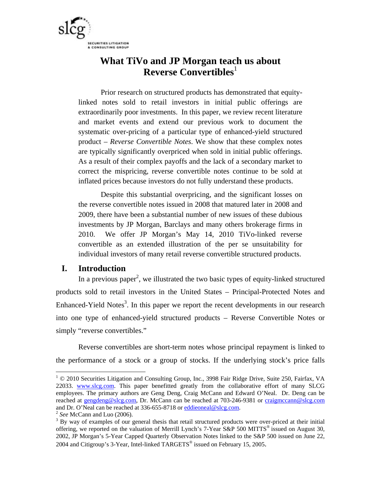

# **What TiVo and JP Morgan teach us about Reverse Convertibles**<sup>1</sup>

Prior research on structured products has demonstrated that equitylinked notes sold to retail investors in initial public offerings are extraordinarily poor investments. In this paper, we review recent literature and market events and extend our previous work to document the systematic over-pricing of a particular type of enhanced-yield structured product – *Reverse Convertible Notes*. We show that these complex notes are typically significantly overpriced when sold in initial public offerings. As a result of their complex payoffs and the lack of a secondary market to correct the mispricing, reverse convertible notes continue to be sold at inflated prices because investors do not fully understand these products.

Despite this substantial overpricing, and the significant losses on the reverse convertible notes issued in 2008 that matured later in 2008 and 2009, there have been a substantial number of new issues of these dubious investments by JP Morgan, Barclays and many others brokerage firms in 2010. We offer JP Morgan's May 14, 2010 TiVo-linked reverse convertible as an extended illustration of the per se unsuitability for individual investors of many retail reverse convertible structured products.

### **I. Introduction**

In a previous paper<sup>2</sup>, we illustrated the two basic types of equity-linked structured products sold to retail investors in the United States – Principal-Protected Notes and Enhanced-Yield Notes<sup>3</sup>. In this paper we report the recent developments in our research into one type of enhanced-yield structured products – Reverse Convertible Notes or simply "reverse convertibles."

Reverse convertibles are short-term notes whose principal repayment is linked to the performance of a stock or a group of stocks. If the underlying stock's price falls

<sup>&</sup>lt;sup>1</sup> © 2010 Securities Litigation and Consulting Group, Inc., 3998 Fair Ridge Drive, Suite 250, Fairfax, VA 22033. www.slcg.com. This paper benefitted greatly from the collaborative effort of many SLCG employees. The primary authors are Geng Deng, Craig McCann and Edward O'Neal. Dr. Deng can be reached at gengdeng@slcg.com, Dr. McCann can be reached at 703-246-9381 or craigmccann@slcg.com and Dr. O'Neal can be reached at 336-655-8718 or **eddieoneal@slcg.com**. <sup>2</sup> *See* McCann and Luo (2006).

<sup>&</sup>lt;sup>3</sup> By way of examples of our general thesis that retail structured products were over-priced at their initial offering, we reported on the valuation of Merrill Lynch's 7-Year S&P 500 MITTS<sup>®</sup> issued on August 30, 2002, JP Morgan's 5-Year Capped Quarterly Observation Notes linked to the S&P 500 issued on June 22, 2004 and Citigroup's 3-Year, Intel-linked TARGETS® issued on February 15, 2005.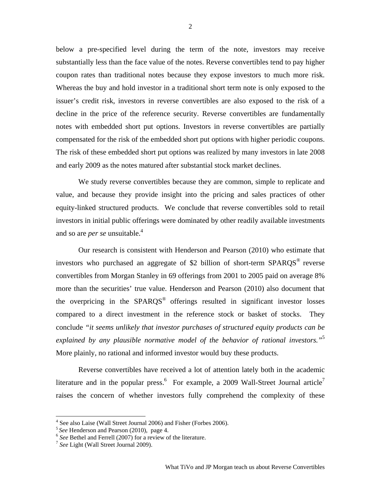below a pre-specified level during the term of the note, investors may receive substantially less than the face value of the notes. Reverse convertibles tend to pay higher coupon rates than traditional notes because they expose investors to much more risk. Whereas the buy and hold investor in a traditional short term note is only exposed to the issuer's credit risk, investors in reverse convertibles are also exposed to the risk of a decline in the price of the reference security. Reverse convertibles are fundamentally notes with embedded short put options. Investors in reverse convertibles are partially compensated for the risk of the embedded short put options with higher periodic coupons. The risk of these embedded short put options was realized by many investors in late 2008 and early 2009 as the notes matured after substantial stock market declines.

We study reverse convertibles because they are common, simple to replicate and value, and because they provide insight into the pricing and sales practices of other equity-linked structured products. We conclude that reverse convertibles sold to retail investors in initial public offerings were dominated by other readily available investments and so are *per se* unsuitable.4

Our research is consistent with Henderson and Pearson (2010) who estimate that investors who purchased an aggregate of \$2 billion of short-term SPARQS® reverse convertibles from Morgan Stanley in 69 offerings from 2001 to 2005 paid on average 8% more than the securities' true value. Henderson and Pearson (2010) also document that the overpricing in the  $SPAROS^{\circledcirc}$  offerings resulted in significant investor losses compared to a direct investment in the reference stock or basket of stocks. They conclude *"it seems unlikely that investor purchases of structured equity products can be explained by any plausible normative model of the behavior of rational investors."*<sup>5</sup> More plainly, no rational and informed investor would buy these products.

Reverse convertibles have received a lot of attention lately both in the academic literature and in the popular press. For example, a 2009 Wall-Street Journal article<sup>7</sup> raises the concern of whether investors fully comprehend the complexity of these

 4 See also Laise (Wall Street Journal 2006) and Fisher (Forbes 2006).

<sup>5</sup>*See* Henderson and Pearson (2010), page 4. <sup>6</sup> *See* Bethel and Ferrell (2007) for a review of the literature. 7 *See* Light (Wall Street Journal 2009).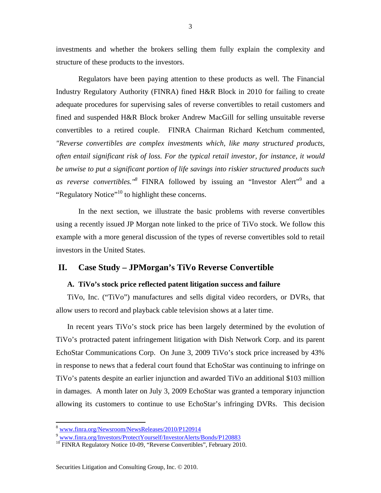investments and whether the brokers selling them fully explain the complexity and structure of these products to the investors.

Regulators have been paying attention to these products as well. The Financial Industry Regulatory Authority (FINRA) fined H&R Block in 2010 for failing to create adequate procedures for supervising sales of reverse convertibles to retail customers and fined and suspended H&R Block broker Andrew MacGill for selling unsuitable reverse convertibles to a retired couple. FINRA Chairman Richard Ketchum commented, *"Reverse convertibles are complex investments which, like many structured products, often entail significant risk of loss. For the typical retail investor, for instance, it would be unwise to put a significant portion of life savings into riskier structured products such*  as reverse convertibles.<sup>"8</sup> FINRA followed by issuing an "Investor Alert"<sup>9</sup> and a "Regulatory Notice"<sup>10</sup> to highlight these concerns.

In the next section, we illustrate the basic problems with reverse convertibles using a recently issued JP Morgan note linked to the price of TiVo stock. We follow this example with a more general discussion of the types of reverse convertibles sold to retail investors in the United States.

### **II. Case Study – JPMorgan's TiVo Reverse Convertible**

#### **A. TiVo's stock price reflected patent litigation success and failure**

TiVo, Inc. ("TiVo") manufactures and sells digital video recorders, or DVRs, that allow users to record and playback cable television shows at a later time.

In recent years TiVo's stock price has been largely determined by the evolution of TiVo's protracted patent infringement litigation with Dish Network Corp. and its parent EchoStar Communications Corp. On June 3, 2009 TiVo's stock price increased by 43% in response to news that a federal court found that EchoStar was continuing to infringe on TiVo's patents despite an earlier injunction and awarded TiVo an additional \$103 million in damages. A month later on July 3, 2009 EchoStar was granted a temporary injunction allowing its customers to continue to use EchoStar's infringing DVRs. This decision

<sup>8</sup> www.finra.org/Newsroom/NewsReleases/2010/P120914

<sup>9</sup> www.finra.org/Investors/ProtectYourself/InvestorAlerts/Bonds/P120883

<sup>&</sup>lt;sup>10</sup> FINRA Regulatory Notice 10-09, "Reverse Convertibles", February 2010.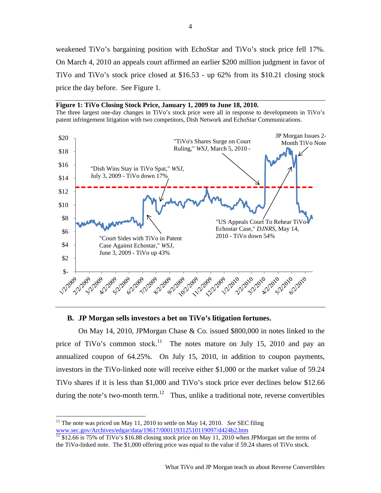weakened TiVo's bargaining position with EchoStar and TiVo's stock price fell 17%. On March 4, 2010 an appeals court affirmed an earlier \$200 million judgment in favor of TiVo and TiVo's stock price closed at \$16.53 - up 62% from its \$10.21 closing stock price the day before. See Figure 1.

**Figure 1: TiVo Closing Stock Price, January 1, 2009 to June 18, 2010.** 

The three largest one-day changes in TiVo's stock price were all in response to developments in TiVo's patent infringement litigation with two competitors, Dish Network and EchoStar Communications.



#### **B. JP Morgan sells investors a bet on TiVo's litigation fortunes.**

On May 14, 2010, JPMorgan Chase & Co. issued \$800,000 in notes linked to the price of TiVo's common stock.<sup>11</sup> The notes mature on July 15, 2010 and pay an annualized coupon of 64.25%. On July 15, 2010, in addition to coupon payments, investors in the TiVo-linked note will receive either \$1,000 or the market value of 59.24 TiVo shares if it is less than \$1,000 and TiVo's stock price ever declines below \$12.66 during the note's two-month term.<sup>12</sup> Thus, unlike a traditional note, reverse convertibles

<sup>&</sup>lt;sup>11</sup> The note was priced on May 11, 2010 to settle on May 14, 2010. *See SEC filing* www.sec.gov/Archives/edgar/data/19617/000119312510119097/d424b2.htm

<sup>&</sup>lt;sup>12</sup> \$12.66 is 75% of TiVo's \$16.88 closing stock price on May 11, 2010 when JPMorgan set the terms of the TiVo-linked note. The \$1,000 offering price was equal to the value if 59.24 shares of TiVo stock.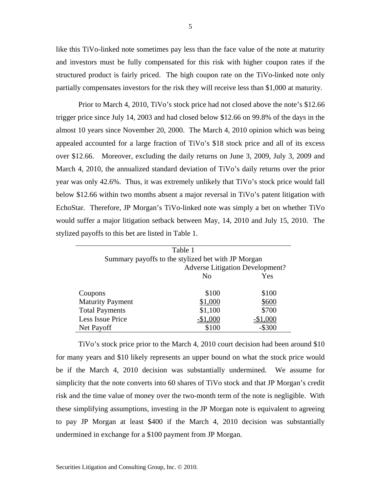like this TiVo-linked note sometimes pay less than the face value of the note at maturity and investors must be fully compensated for this risk with higher coupon rates if the structured product is fairly priced. The high coupon rate on the TiVo-linked note only partially compensates investors for the risk they will receive less than \$1,000 at maturity.

Prior to March 4, 2010, TiVo's stock price had not closed above the note's \$12.66 trigger price since July 14, 2003 and had closed below \$12.66 on 99.8% of the days in the almost 10 years since November 20, 2000. The March 4, 2010 opinion which was being appealed accounted for a large fraction of TiVo's \$18 stock price and all of its excess over \$12.66. Moreover, excluding the daily returns on June 3, 2009, July 3, 2009 and March 4, 2010, the annualized standard deviation of TiVo's daily returns over the prior year was only 42.6%. Thus, it was extremely unlikely that TiVo's stock price would fall below \$12.66 within two months absent a major reversal in TiVo's patent litigation with EchoStar. Therefore, JP Morgan's TiVo-linked note was simply a bet on whether TiVo would suffer a major litigation setback between May, 14, 2010 and July 15, 2010. The stylized payoffs to this bet are listed in Table 1.

| Table 1                                            |           |           |  |  |  |
|----------------------------------------------------|-----------|-----------|--|--|--|
| Summary payoffs to the stylized bet with JP Morgan |           |           |  |  |  |
| <b>Adverse Litigation Development?</b>             |           |           |  |  |  |
| N <sub>0</sub><br>Yes                              |           |           |  |  |  |
|                                                    |           |           |  |  |  |
| Coupons                                            | \$100     | \$100     |  |  |  |
| <b>Maturity Payment</b>                            | \$1,000   | \$600     |  |  |  |
| <b>Total Payments</b>                              | \$1,100   | \$700     |  |  |  |
| Less Issue Price                                   | $-$1,000$ | $-$1,000$ |  |  |  |
| Net Payoff                                         | \$100     | $-$ \$300 |  |  |  |

 TiVo's stock price prior to the March 4, 2010 court decision had been around \$10 for many years and \$10 likely represents an upper bound on what the stock price would be if the March 4, 2010 decision was substantially undermined. We assume for simplicity that the note converts into 60 shares of TiVo stock and that JP Morgan's credit risk and the time value of money over the two-month term of the note is negligible. With these simplifying assumptions, investing in the JP Morgan note is equivalent to agreeing to pay JP Morgan at least \$400 if the March 4, 2010 decision was substantially undermined in exchange for a \$100 payment from JP Morgan.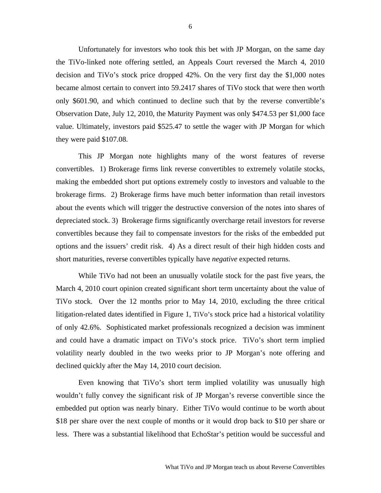Unfortunately for investors who took this bet with JP Morgan, on the same day the TiVo-linked note offering settled, an Appeals Court reversed the March 4, 2010 decision and TiVo's stock price dropped 42%. On the very first day the \$1,000 notes became almost certain to convert into 59.2417 shares of TiVo stock that were then worth only \$601.90, and which continued to decline such that by the reverse convertible's Observation Date, July 12, 2010, the Maturity Payment was only \$474.53 per \$1,000 face value. Ultimately, investors paid \$525.47 to settle the wager with JP Morgan for which they were paid \$107.08.

This JP Morgan note highlights many of the worst features of reverse convertibles. 1) Brokerage firms link reverse convertibles to extremely volatile stocks, making the embedded short put options extremely costly to investors and valuable to the brokerage firms. 2) Brokerage firms have much better information than retail investors about the events which will trigger the destructive conversion of the notes into shares of depreciated stock. 3) Brokerage firms significantly overcharge retail investors for reverse convertibles because they fail to compensate investors for the risks of the embedded put options and the issuers' credit risk. 4) As a direct result of their high hidden costs and short maturities, reverse convertibles typically have *negative* expected returns.

While TiVo had not been an unusually volatile stock for the past five years, the March 4, 2010 court opinion created significant short term uncertainty about the value of TiVo stock. Over the 12 months prior to May 14, 2010, excluding the three critical litigation-related dates identified in Figure 1, TiVo's stock price had a historical volatility of only 42.6%. Sophisticated market professionals recognized a decision was imminent and could have a dramatic impact on TiVo's stock price. TiVo's short term implied volatility nearly doubled in the two weeks prior to JP Morgan's note offering and declined quickly after the May 14, 2010 court decision.

Even knowing that TiVo's short term implied volatility was unusually high wouldn't fully convey the significant risk of JP Morgan's reverse convertible since the embedded put option was nearly binary. Either TiVo would continue to be worth about \$18 per share over the next couple of months or it would drop back to \$10 per share or less. There was a substantial likelihood that EchoStar's petition would be successful and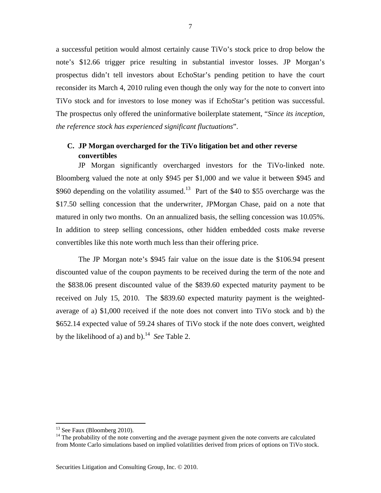a successful petition would almost certainly cause TiVo's stock price to drop below the note's \$12.66 trigger price resulting in substantial investor losses. JP Morgan's prospectus didn't tell investors about EchoStar's pending petition to have the court reconsider its March 4, 2010 ruling even though the only way for the note to convert into TiVo stock and for investors to lose money was if EchoStar's petition was successful. The prospectus only offered the uninformative boilerplate statement, "*Since its inception, the reference stock has experienced significant fluctuations*".

### **C. JP Morgan overcharged for the TiVo litigation bet and other reverse convertibles**

JP Morgan significantly overcharged investors for the TiVo-linked note. Bloomberg valued the note at only \$945 per \$1,000 and we value it between \$945 and \$960 depending on the volatility assumed.<sup>13</sup> Part of the \$40 to \$55 overcharge was the \$17.50 selling concession that the underwriter, JPMorgan Chase, paid on a note that matured in only two months. On an annualized basis, the selling concession was 10.05%. In addition to steep selling concessions, other hidden embedded costs make reverse convertibles like this note worth much less than their offering price.

The JP Morgan note's \$945 fair value on the issue date is the \$106.94 present discounted value of the coupon payments to be received during the term of the note and the \$838.06 present discounted value of the \$839.60 expected maturity payment to be received on July 15, 2010. The \$839.60 expected maturity payment is the weightedaverage of a) \$1,000 received if the note does not convert into TiVo stock and b) the \$652.14 expected value of 59.24 shares of TiVo stock if the note does convert, weighted by the likelihood of a) and b).14 *See* Table 2.

<sup>&</sup>lt;sup>13</sup> See Faux (Bloomberg 2010).

<sup>&</sup>lt;sup>14</sup> The probability of the note converting and the average payment given the note converts are calculated from Monte Carlo simulations based on implied volatilities derived from prices of options on TiVo stock.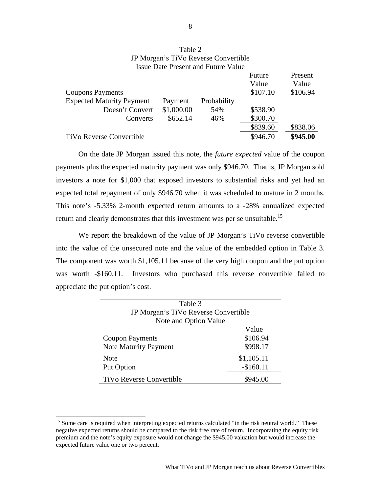|                                                  | Table 2                              |                                            |          |          |  |  |  |
|--------------------------------------------------|--------------------------------------|--------------------------------------------|----------|----------|--|--|--|
|                                                  | JP Morgan's TiVo Reverse Convertible |                                            |          |          |  |  |  |
|                                                  |                                      | <b>Issue Date Present and Future Value</b> |          |          |  |  |  |
|                                                  |                                      |                                            | Future   | Present  |  |  |  |
|                                                  |                                      |                                            | Value    | Value    |  |  |  |
| <b>Coupons Payments</b>                          |                                      |                                            | \$107.10 | \$106.94 |  |  |  |
| <b>Expected Maturity Payment</b>                 | Payment                              | Probability                                |          |          |  |  |  |
| Doesn't Convert                                  | \$1,000.00                           | 54%                                        | \$538.90 |          |  |  |  |
| Converts                                         | \$652.14                             | 46%                                        | \$300.70 |          |  |  |  |
|                                                  |                                      |                                            | \$839.60 | \$838.06 |  |  |  |
| \$945.00<br>\$946.70<br>TiVo Reverse Convertible |                                      |                                            |          |          |  |  |  |

On the date JP Morgan issued this note, the *future expected* value of the coupon payments plus the expected maturity payment was only \$946.70. That is, JP Morgan sold investors a note for \$1,000 that exposed investors to substantial risks and yet had an expected total repayment of only \$946.70 when it was scheduled to mature in 2 months. This note's -5.33% 2-month expected return amounts to a -28% annualized expected return and clearly demonstrates that this investment was per se unsuitable.<sup>15</sup>

We report the breakdown of the value of JP Morgan's TiVo reverse convertible into the value of the unsecured note and the value of the embedded option in Table 3. The component was worth \$1,105.11 because of the very high coupon and the put option was worth -\$160.11. Investors who purchased this reverse convertible failed to appreciate the put option's cost.

| Table 3                              |            |  |  |  |
|--------------------------------------|------------|--|--|--|
| JP Morgan's TiVo Reverse Convertible |            |  |  |  |
| Note and Option Value                |            |  |  |  |
|                                      | Value      |  |  |  |
| <b>Coupon Payments</b>               | \$106.94   |  |  |  |
| <b>Note Maturity Payment</b>         | \$998.17   |  |  |  |
| Note                                 | \$1,105.11 |  |  |  |
| Put Option                           | $-$160.11$ |  |  |  |
| <b>TiVo Reverse Convertible</b>      | \$945.00   |  |  |  |

<sup>&</sup>lt;sup>15</sup> Some care is required when interpreting expected returns calculated "in the risk neutral world." These negative expected returns should be compared to the risk free rate of return. Incorporating the equity risk premium and the note's equity exposure would not change the \$945.00 valuation but would increase the expected future value one or two percent.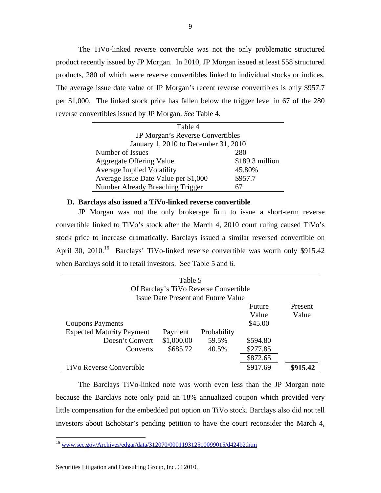The TiVo-linked reverse convertible was not the only problematic structured product recently issued by JP Morgan. In 2010, JP Morgan issued at least 558 structured products, 280 of which were reverse convertibles linked to individual stocks or indices. The average issue date value of JP Morgan's recent reverse convertibles is only \$957.7 per \$1,000. The linked stock price has fallen below the trigger level in 67 of the 280 reverse convertibles issued by JP Morgan. *See* Table 4.

| Table 4                                 |                 |  |  |  |
|-----------------------------------------|-----------------|--|--|--|
| <b>JP Morgan's Reverse Convertibles</b> |                 |  |  |  |
| January 1, 2010 to December 31, 2010    |                 |  |  |  |
| Number of Issues                        | 280             |  |  |  |
| <b>Aggregate Offering Value</b>         | \$189.3 million |  |  |  |
| <b>Average Implied Volatility</b>       | 45.80%          |  |  |  |
| Average Issue Date Value per \$1,000    | \$957.7         |  |  |  |
| Number Already Breaching Trigger        |                 |  |  |  |

#### **D. Barclays also issued a TiVo-linked reverse convertible**

JP Morgan was not the only brokerage firm to issue a short-term reverse convertible linked to TiVo's stock after the March 4, 2010 court ruling caused TiVo's stock price to increase dramatically. Barclays issued a similar reversed convertible on April 30, 2010.<sup>16</sup> Barclays' TiVo-linked reverse convertible was worth only \$915.42 when Barclays sold it to retail investors. See Table 5 and 6.

| Table 5<br>Of Barclay's TiVo Reverse Convertible |            |                                            |                            |                  |  |
|--------------------------------------------------|------------|--------------------------------------------|----------------------------|------------------|--|
|                                                  |            | <b>Issue Date Present and Future Value</b> |                            |                  |  |
| <b>Coupons Payments</b>                          |            |                                            | Future<br>Value<br>\$45.00 | Present<br>Value |  |
| <b>Expected Maturity Payment</b>                 | Payment    | Probability                                |                            |                  |  |
| Doesn't Convert                                  | \$1,000.00 | 59.5%                                      | \$594.80                   |                  |  |
| Converts                                         | \$685.72   | 40.5%                                      | \$277.85                   |                  |  |
|                                                  |            |                                            | \$872.65                   |                  |  |
| <b>TiVo Reverse Convertible</b>                  |            |                                            | \$917.69                   | \$915.42         |  |

The Barclays TiVo-linked note was worth even less than the JP Morgan note because the Barclays note only paid an 18% annualized coupon which provided very little compensation for the embedded put option on TiVo stock. Barclays also did not tell investors about EchoStar's pending petition to have the court reconsider the March 4,

<sup>&</sup>lt;sup>16</sup> www.sec.gov/Archives/edgar/data/312070/000119312510099015/d424b2.htm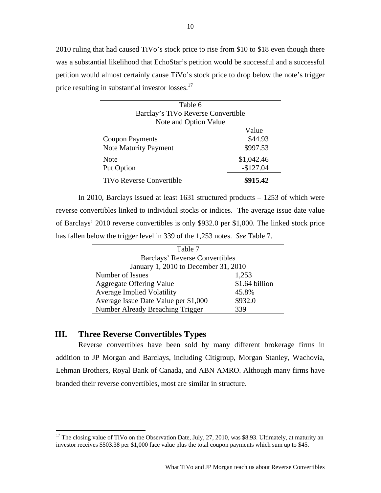2010 ruling that had caused TiVo's stock price to rise from \$10 to \$18 even though there was a substantial likelihood that EchoStar's petition would be successful and a successful petition would almost certainly cause TiVo's stock price to drop below the note's trigger price resulting in substantial investor losses.<sup>17</sup>

| Table 6                            |            |  |  |  |
|------------------------------------|------------|--|--|--|
| Barclay's TiVo Reverse Convertible |            |  |  |  |
| Note and Option Value              |            |  |  |  |
|                                    | Value      |  |  |  |
| <b>Coupon Payments</b>             | \$44.93    |  |  |  |
| <b>Note Maturity Payment</b>       | \$997.53   |  |  |  |
| <b>Note</b>                        | \$1,042.46 |  |  |  |
| Put Option                         | $-$127.04$ |  |  |  |
| <b>TiVo Reverse Convertible</b>    | \$915.42   |  |  |  |

In 2010, Barclays issued at least 1631 structured products – 1253 of which were reverse convertibles linked to individual stocks or indices. The average issue date value of Barclays' 2010 reverse convertibles is only \$932.0 per \$1,000. The linked stock price has fallen below the trigger level in 339 of the 1,253 notes. *See* Table 7.

| Table 7                              |                |  |  |  |
|--------------------------------------|----------------|--|--|--|
| Barclays' Reverse Convertibles       |                |  |  |  |
| January 1, 2010 to December 31, 2010 |                |  |  |  |
| Number of Issues                     | 1,253          |  |  |  |
| Aggregate Offering Value             | \$1.64 billion |  |  |  |
| <b>Average Implied Volatility</b>    | 45.8%          |  |  |  |
| Average Issue Date Value per \$1,000 | \$932.0        |  |  |  |
| Number Already Breaching Trigger     | 339            |  |  |  |

### **III. Three Reverse Convertibles Types**

Reverse convertibles have been sold by many different brokerage firms in addition to JP Morgan and Barclays, including Citigroup, Morgan Stanley, Wachovia, Lehman Brothers, Royal Bank of Canada, and ABN AMRO. Although many firms have branded their reverse convertibles, most are similar in structure.

 $17$  The closing value of TiVo on the Observation Date, July, 27, 2010, was \$8.93. Ultimately, at maturity an investor receives \$503.38 per \$1,000 face value plus the total coupon payments which sum up to \$45.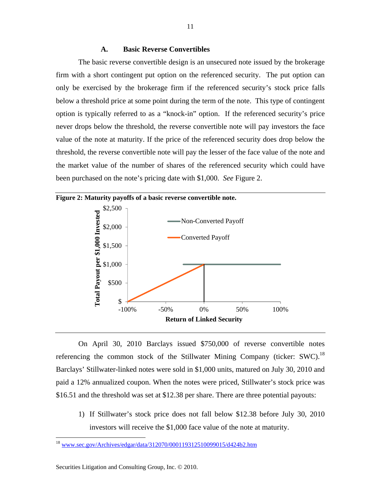#### **A. Basic Reverse Convertibles**

The basic reverse convertible design is an unsecured note issued by the brokerage firm with a short contingent put option on the referenced security. The put option can only be exercised by the brokerage firm if the referenced security's stock price falls below a threshold price at some point during the term of the note. This type of contingent option is typically referred to as a "knock-in" option. If the referenced security's price never drops below the threshold, the reverse convertible note will pay investors the face value of the note at maturity. If the price of the referenced security does drop below the threshold, the reverse convertible note will pay the lesser of the face value of the note and the market value of the number of shares of the referenced security which could have been purchased on the note's pricing date with \$1,000. *See* Figure 2.



On April 30, 2010 Barclays issued \$750,000 of reverse convertible notes referencing the common stock of the Stillwater Mining Company (ticker: SWC).<sup>18</sup> Barclays' Stillwater-linked notes were sold in \$1,000 units, matured on July 30, 2010 and paid a 12% annualized coupon. When the notes were priced, Stillwater's stock price was \$16.51 and the threshold was set at \$12.38 per share. There are three potential payouts:

1) If Stillwater's stock price does not fall below \$12.38 before July 30, 2010 investors will receive the \$1,000 face value of the note at maturity.

<sup>18</sup> www.sec.gov/Archives/edgar/data/312070/000119312510099015/d424b2.htm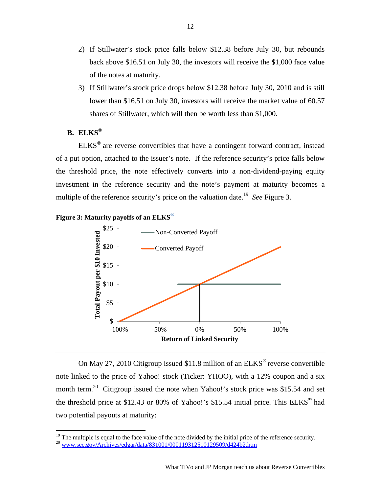- 2) If Stillwater's stock price falls below \$12.38 before July 30, but rebounds back above \$16.51 on July 30, the investors will receive the \$1,000 face value of the notes at maturity.
- 3) If Stillwater's stock price drops below \$12.38 before July 30, 2010 and is still lower than \$16.51 on July 30, investors will receive the market value of 60.57 shares of Stillwater, which will then be worth less than \$1,000.

### **B. ELKS®**

ELKS® are reverse convertibles that have a contingent forward contract, instead of a put option, attached to the issuer's note. If the reference security's price falls below the threshold price, the note effectively converts into a non-dividend-paying equity investment in the reference security and the note's payment at maturity becomes a multiple of the reference security's price on the valuation date.<sup>19</sup> *See* Figure 3.



On May 27, 2010 Citigroup issued \$11.8 million of an ELKS<sup>®</sup> reverse convertible note linked to the price of Yahoo! stock (Ticker: YHOO), with a 12% coupon and a six month term.<sup>20</sup> Citigroup issued the note when Yahoo!'s stock price was \$15.54 and set the threshold price at \$12.43 or 80% of Yahoo!'s \$15.54 initial price. This ELKS® had two potential payouts at maturity:

<sup>&</sup>lt;sup>19</sup> The multiple is equal to the face value of the note divided by the initial price of the reference security.<br><sup>20</sup> www.sec.gov/Archives/edgar/data/831001/000119312510129509/d424b2.htm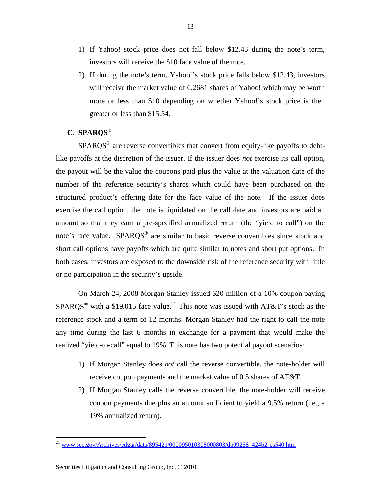- 1) If Yahoo! stock price does not fall below \$12.43 during the note's term, investors will receive the \$10 face value of the note.
- 2) If during the note's term, Yahoo!'s stock price falls below \$12.43, investors will receive the market value of 0.2681 shares of Yahoo! which may be worth more or less than \$10 depending on whether Yahoo!'s stock price is then greater or less than \$15.54.

### **C. SPARQS®**

 $SPARQS^{\circ}$  are reverse convertibles that convert from equity-like payoffs to debtlike payoffs at the discretion of the issuer. If the issuer does *not* exercise its call option, the payout will be the value the coupons paid plus the value at the valuation date of the number of the reference security's shares which could have been purchased on the structured product's offering date for the face value of the note. If the issuer does exercise the call option, the note is liquidated on the call date and investors are paid an amount so that they earn a pre-specified annualized return (the "yield to call") on the note's face value. SPARQS® are similar to basic reverse convertibles since stock and short call options have payoffs which are quite similar to notes and short put options. In both cases, investors are exposed to the downside risk of the reference security with little or no participation in the security's upside.

On March 24, 2008 Morgan Stanley issued \$20 million of a 10% coupon paying SPARQS<sup>®</sup> with a \$19.015 face value.<sup>21</sup> This note was issued with AT&T's stock as the reference stock and a term of 12 months. Morgan Stanley had the right to call the note any time during the last 6 months in exchange for a payment that would make the realized "yield-to-call" equal to 19%. This note has two potential payout scenarios:

- 1) If Morgan Stanley does *not* call the reverse convertible, the note-holder will receive coupon payments and the market value of 0.5 shares of AT&T.
- 2) If Morgan Stanley calls the reverse convertible, the note-holder will receive coupon payments due plus an amount sufficient to yield a 9.5% return (i.e., a 19% annualized return).

<sup>&</sup>lt;sup>21</sup> www.sec.gov/Archives/edgar/data/895421/000095010308000803/dp09258\_424b2-ps540.htm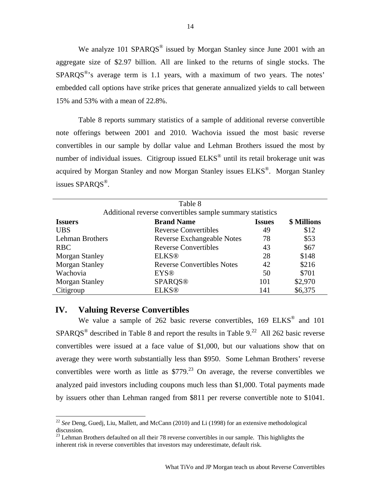We analyze 101 SPARQS<sup>®</sup> issued by Morgan Stanley since June 2001 with an aggregate size of \$2.97 billion. All are linked to the returns of single stocks. The  $SPARQS<sup>®</sup>$ 's average term is 1.1 years, with a maximum of two years. The notes' embedded call options have strike prices that generate annualized yields to call between 15% and 53% with a mean of 22.8%.

Table 8 reports summary statistics of a sample of additional reverse convertible note offerings between 2001 and 2010. Wachovia issued the most basic reverse convertibles in our sample by dollar value and Lehman Brothers issued the most by number of individual issues. Citigroup issued ELKS<sup>®</sup> until its retail brokerage unit was acquired by Morgan Stanley and now Morgan Stanley issues ELKS®. Morgan Stanley issues SPARQS®.

| Table 8<br>Additional reverse convertibles sample summary statistics       |                                   |     |         |  |  |  |
|----------------------------------------------------------------------------|-----------------------------------|-----|---------|--|--|--|
| <b>\$ Millions</b><br><b>Brand Name</b><br><b>Issues</b><br><b>Issuers</b> |                                   |     |         |  |  |  |
| <b>UBS</b>                                                                 | <b>Reverse Convertibles</b>       | 49  | \$12    |  |  |  |
| Lehman Brothers                                                            | <b>Reverse Exchangeable Notes</b> | 78  | \$53    |  |  |  |
| <b>RBC</b>                                                                 | <b>Reverse Convertibles</b>       | 43  | \$67    |  |  |  |
| <b>Morgan Stanley</b>                                                      | <b>ELKS®</b>                      | 28  | \$148   |  |  |  |
| <b>Morgan Stanley</b>                                                      | <b>Reverse Convertibles Notes</b> | 42  | \$216   |  |  |  |
| Wachovia                                                                   | <b>EYS®</b>                       | 50  | \$701   |  |  |  |
| <b>Morgan Stanley</b>                                                      | <b>SPARQS®</b>                    | 101 | \$2,970 |  |  |  |
| Citigroup                                                                  | <b>ELKS®</b>                      | 141 | \$6,375 |  |  |  |

### **IV. Valuing Reverse Convertibles**

We value a sample of 262 basic reverse convertibles, 169 ELKS<sup>®</sup> and 101  $SPAROS^{\circledcirc}$  described in Table 8 and report the results in Table 9.<sup>22</sup> All 262 basic reverse convertibles were issued at a face value of \$1,000, but our valuations show that on average they were worth substantially less than \$950. Some Lehman Brothers' reverse convertibles were worth as little as  $$779<sup>23</sup>$  On average, the reverse convertibles we analyzed paid investors including coupons much less than \$1,000. Total payments made by issuers other than Lehman ranged from \$811 per reverse convertible note to \$1041.

<sup>22</sup> *See* Deng, Guedj, Liu, Mallett, and McCann (2010) and Li (1998) for an extensive methodological discussion.

<sup>&</sup>lt;sup>23</sup> Lehman Brothers defaulted on all their 78 reverse convertibles in our sample. This highlights the inherent risk in reverse convertibles that investors may underestimate, default risk.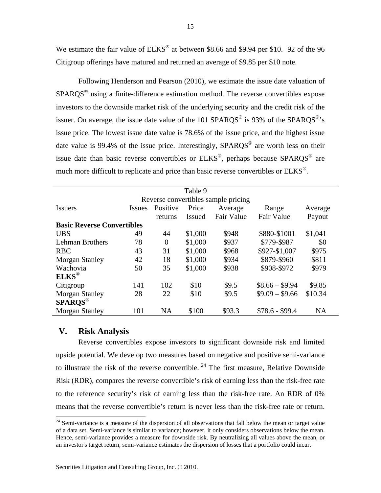We estimate the fair value of ELKS<sup>®</sup> at between \$8.66 and \$9.94 per \$10. 92 of the 96 Citigroup offerings have matured and returned an average of \$9.85 per \$10 note.

Following Henderson and Pearson (2010), we estimate the issue date valuation of SPARQS® using a finite-difference estimation method. The reverse convertibles expose investors to the downside market risk of the underlying security and the credit risk of the issuer. On average, the issue date value of the 101 SPARQS<sup>®</sup> is 93% of the SPARQS<sup>®</sup>'s issue price. The lowest issue date value is 78.6% of the issue price, and the highest issue date value is 99.4% of the issue price. Interestingly,  $SPAROS^{\circ}$  are worth less on their issue date than basic reverse convertibles or  $ELKS^{\circledast}$ , perhaps because  $SPAROS^{\circledast}$  are much more difficult to replicate and price than basic reverse convertibles or ELKS<sup>®</sup>.

|                                   |               |                | Table 9       |                                     |                   |           |
|-----------------------------------|---------------|----------------|---------------|-------------------------------------|-------------------|-----------|
|                                   |               |                |               | Reverse convertibles sample pricing |                   |           |
| <i><u><b>Issuers</b></u></i>      | <i>Issues</i> | Positive       | Price         | Average                             | Range             | Average   |
|                                   |               | returns        | <b>Issued</b> | <b>Fair Value</b>                   | <b>Fair Value</b> | Payout    |
| <b>Basic Reverse Convertibles</b> |               |                |               |                                     |                   |           |
| <b>UBS</b>                        | 49            | 44             | \$1,000       | \$948                               | \$880-\$1001      | \$1,041   |
| <b>Lehman Brothers</b>            | 78            | $\overline{0}$ | \$1,000       | \$937                               | \$779-\$987       | \$0       |
| <b>RBC</b>                        | 43            | 31             | \$1,000       | \$968                               | \$927-\$1,007     | \$975     |
| <b>Morgan Stanley</b>             | 42            | 18             | \$1,000       | \$934                               | \$879-\$960       | \$811     |
| Wachovia                          | 50            | 35             | \$1,000       | \$938                               | \$908-\$972       | \$979     |
| $ELKS^{\circledR}$                |               |                |               |                                     |                   |           |
| Citigroup                         | 141           | 102            | \$10          | \$9.5                               | $$8.66 - $9.94$   | \$9.85    |
| <b>Morgan Stanley</b>             | 28            | 22             | \$10          | \$9.5                               | $$9.09 - $9.66$   | \$10.34   |
| $SPAROS^{\circledR}$              |               |                |               |                                     |                   |           |
| <b>Morgan Stanley</b>             | 101           | <b>NA</b>      | \$100         | \$93.3                              | $$78.6 - $99.4$   | <b>NA</b> |

### **V. Risk Analysis**

Reverse convertibles expose investors to significant downside risk and limited upside potential. We develop two measures based on negative and positive semi-variance to illustrate the risk of the reverse convertible.  $24$  The first measure, Relative Downside Risk (RDR), compares the reverse convertible's risk of earning less than the risk-free rate to the reference security's risk of earning less than the risk-free rate. An RDR of 0% means that the reverse convertible's return is never less than the risk-free rate or return.

 $24$  Semi-variance is a measure of the dispersion of all observations that fall below the mean or target value of a data set. Semi-variance is similar to variance; however, it only considers observations below the mean. Hence, semi-variance provides a measure for downside risk. By neutralizing all values above the mean, or an investor's target return, semi-variance estimates the dispersion of losses that a portfolio could incur.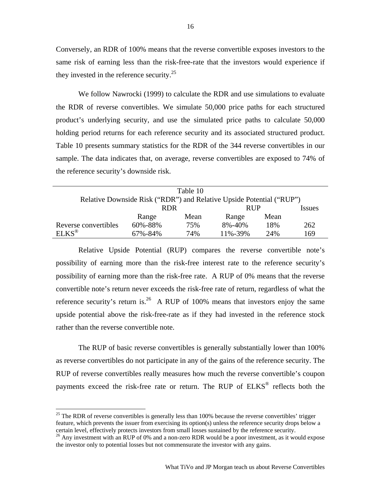Conversely, an RDR of 100% means that the reverse convertible exposes investors to the same risk of earning less than the risk-free-rate that the investors would experience if they invested in the reference security. $25$ 

We follow Nawrocki (1999) to calculate the RDR and use simulations to evaluate the RDR of reverse convertibles. We simulate 50,000 price paths for each structured product's underlying security, and use the simulated price paths to calculate 50,000 holding period returns for each reference security and its associated structured product. Table 10 presents summary statistics for the RDR of the 344 reverse convertibles in our sample. The data indicates that, on average, reverse convertibles are exposed to 74% of the reference security's downside risk.

| Table 10                                                             |            |      |            |      |        |  |  |
|----------------------------------------------------------------------|------------|------|------------|------|--------|--|--|
| Relative Downside Risk ("RDR") and Relative Upside Potential ("RUP") |            |      |            |      |        |  |  |
|                                                                      | <b>RDR</b> |      | <b>RUP</b> |      | Issues |  |  |
|                                                                      | Range      | Mean | Range      | Mean |        |  |  |
| Reverse convertibles                                                 | 60%-88%    | 75%  | 8%-40%     | 18%  | 262    |  |  |
| $ELKS^{\circledR}$                                                   | 67%-84%    | 74%  | 11%-39%    | 24%  | 169    |  |  |

Relative Upside Potential (RUP) compares the reverse convertible note's possibility of earning more than the risk-free interest rate to the reference security's possibility of earning more than the risk-free rate. A RUP of 0% means that the reverse convertible note's return never exceeds the risk-free rate of return, regardless of what the reference security's return is.<sup>26</sup> A RUP of 100% means that investors enjoy the same upside potential above the risk-free-rate as if they had invested in the reference stock rather than the reverse convertible note.

The RUP of basic reverse convertibles is generally substantially lower than 100% as reverse convertibles do not participate in any of the gains of the reference security. The RUP of reverse convertibles really measures how much the reverse convertible's coupon payments exceed the risk-free rate or return. The RUP of ELKS® reflects both the

 $25$  The RDR of reverse convertibles is generally less than 100% because the reverse convertibles' trigger feature, which prevents the issuer from exercising its option(s) unless the reference security drops below a

 $26$  Any investment with an RUP of 0% and a non-zero RDR would be a poor investment, as it would expose the investor only to potential losses but not commensurate the investor with any gains.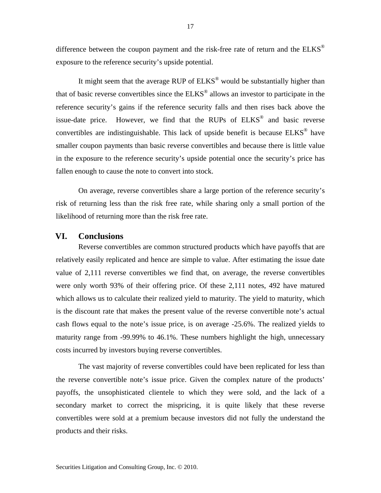difference between the coupon payment and the risk-free rate of return and the  $ELKS^{\circledast}$ exposure to the reference security's upside potential.

It might seem that the average RUP of  $ELKS^{\circledast}$  would be substantially higher than that of basic reverse convertibles since the ELKS® allows an investor to participate in the reference security's gains if the reference security falls and then rises back above the issue-date price. However, we find that the RUPs of  $ELKS^{\omega}$  and basic reverse convertibles are indistinguishable. This lack of upside benefit is because  $ELKS^{\circledast}$  have smaller coupon payments than basic reverse convertibles and because there is little value in the exposure to the reference security's upside potential once the security's price has fallen enough to cause the note to convert into stock.

On average, reverse convertibles share a large portion of the reference security's risk of returning less than the risk free rate, while sharing only a small portion of the likelihood of returning more than the risk free rate.

### **VI. Conclusions**

Reverse convertibles are common structured products which have payoffs that are relatively easily replicated and hence are simple to value. After estimating the issue date value of 2,111 reverse convertibles we find that, on average, the reverse convertibles were only worth 93% of their offering price. Of these 2,111 notes, 492 have matured which allows us to calculate their realized yield to maturity. The yield to maturity, which is the discount rate that makes the present value of the reverse convertible note's actual cash flows equal to the note's issue price, is on average -25.6%. The realized yields to maturity range from -99.99% to 46.1%. These numbers highlight the high, unnecessary costs incurred by investors buying reverse convertibles.

The vast majority of reverse convertibles could have been replicated for less than the reverse convertible note's issue price. Given the complex nature of the products' payoffs, the unsophisticated clientele to which they were sold, and the lack of a secondary market to correct the mispricing, it is quite likely that these reverse convertibles were sold at a premium because investors did not fully the understand the products and their risks.